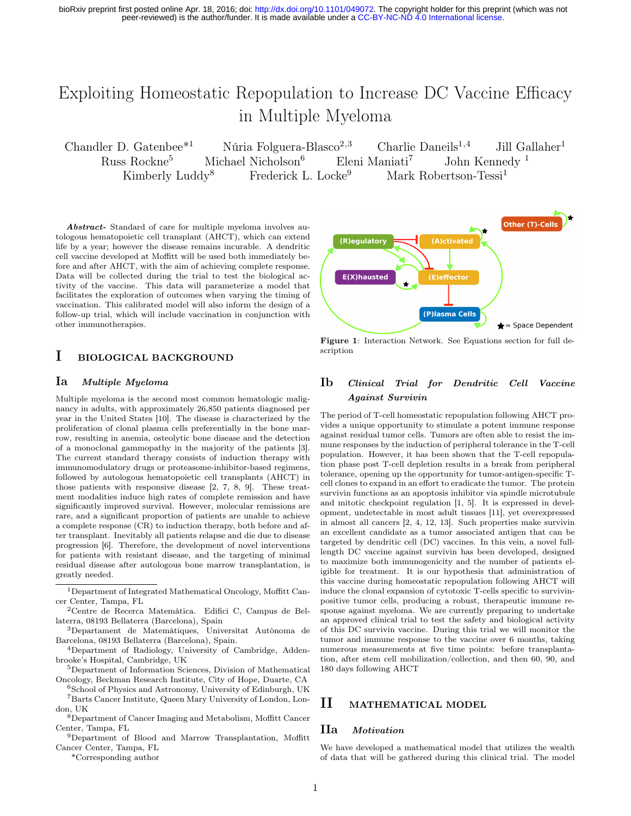peer-reviewed) is the author/funder. It is made available under a [CC-BY-NC-ND 4.0 International license.](http://creativecommons.org/licenses/by-nc-nd/4.0/) bioRxiv preprint first posted online Apr. 18, 2016; doi: [http://dx.doi.org/10.1101/049072.](http://dx.doi.org/10.1101/049072) The copyright holder for this preprint (which was not

# Exploiting Homeostatic Repopulation to Increase DC Vaccine Efficacy in Multiple Myeloma

Chandler D. Gatenbee<sup>\*1</sup> Núria Folguera-Blasco<sup>2,3</sup> Charlie Daneils<sup>1,4</sup> Jill Gallaher<sup>1</sup> Russ Rockne<sup>5</sup> Michael Nicholson<sup>6</sup> Eleni Maniati<sup>7</sup> John Kennedy <sup>1</sup> Kimberly Luddy<sup>8</sup> Frederick L. Locke<sup>9</sup> Mark Robertson-Tessi<sup>1</sup>

Abstract- Standard of care for multiple myeloma involves autologous hematopoietic cell transplant (AHCT), which can extend life by a year; however the disease remains incurable. A dendritic cell vaccine developed at Moffitt will be used both immediately before and after AHCT, with the aim of achieving complete response. Data will be collected during the trial to test the biological activity of the vaccine. This data will parameterize a model that facilitates the exploration of outcomes when varying the timing of vaccination. This calibrated model will also inform the design of a follow-up trial, which will include vaccination in conjunction with other immunotherapies.

### I BIOLOGICAL BACKGROUND

#### Ia Multiple Myeloma

Multiple myeloma is the second most common hematologic malignancy in adults, with approximately 26,850 patients diagnosed per year in the United States [10]. The disease is characterized by the proliferation of clonal plasma cells preferentially in the bone marrow, resulting in anemia, osteolytic bone disease and the detection of a monoclonal gammopathy in the majority of the patients [3]. The current standard therapy consists of induction therapy with immunomodulatory drugs or proteasome-inhibitor-based regimens, followed by autologous hematopoietic cell transplants (AHCT) in those patients with responsive disease [2, 7, 8, 9]. These treatment modalities induce high rates of complete remission and have significantly improved survival. However, molecular remissions are rare, and a significant proportion of patients are unable to achieve a complete response (CR) to induction therapy, both before and after transplant. Inevitably all patients relapse and die due to disease progression [6]. Therefore, the development of novel interventions for patients with resistant disease, and the targeting of minimal residual disease after autologous bone marrow transplantation, is greatly needed.

- <sup>6</sup>School of Physics and Astronomy, University of Edinburgh, UK <sup>7</sup>Barts Cancer Institute, Queen Mary University of London, London, UK
- <sup>8</sup>Department of Cancer Imaging and Metabolism, Moffitt Cancer Center, Tampa, FL
- <sup>9</sup>Department of Blood and Marrow Transplantation, Moffitt Cancer Center, Tampa, FL

\*Corresponding author



Figure 1: Interaction Network. See Equations section for full description

### Ib Clinical Trial for Dendritic Cell Vaccine Against Survivin

The period of T-cell homeostatic repopulation following AHCT provides a unique opportunity to stimulate a potent immune response against residual tumor cells. Tumors are often able to resist the immune responses by the induction of peripheral tolerance in the T-cell population. However, it has been shown that the T-cell repopulation phase post T-cell depletion results in a break from peripheral tolerance, opening up the opportunity for tumor-antigen-specific Tcell clones to expand in an effort to eradicate the tumor. The protein survivin functions as an apoptosis inhibitor via spindle microtubule and mitotic checkpoint regulation [1, 5]. It is expressed in development, undetectable in most adult tissues [11], yet overexpressed in almost all cancers [2, 4, 12, 13]. Such properties make survivin an excellent candidate as a tumor associated antigen that can be targeted by dendritic cell (DC) vaccines. In this vein, a novel fulllength DC vaccine against survivin has been developed, designed to maximize both immunogenicity and the number of patients eligible for treatment. It is our hypothesis that administration of this vaccine during homeostatic repopulation following AHCT will induce the clonal expansion of cytotoxic T-cells specific to survivinpositive tumor cells, producing a robust, therapeutic immune response against myeloma. We are currently preparing to undertake an approved clinical trial to test the safety and biological activity of this DC survivin vaccine. During this trial we will monitor the tumor and immune response to the vaccine over 6 months, taking numerous measurements at five time points: before transplantation, after stem cell mobilization/collection, and then 60, 90, and 180 days following AHCT

### II MATHEMATICAL MODEL

#### IIa Motivation

We have developed a mathematical model that utilizes the wealth of data that will be gathered during this clinical trial. The model

<sup>1</sup>Department of Integrated Mathematical Oncology, Moffitt Cancer Center, Tampa, FL

<sup>2</sup>Centre de Recerca Matemàtica. Edifici C, Campus de Bellaterra, 08193 Bellaterra (Barcelona), Spain

<sup>3</sup>Departament de Matemàtiques, Universitat Autònoma de Barcelona, 08193 Bellaterra (Barcelona), Spain.

<sup>4</sup>Department of Radiology, University of Cambridge, Addenbrooke's Hospital, Cambridge, UK

<sup>5</sup>Department of Information Sciences, Division of Mathematical Oncology, Beckman Research Institute, City of Hope, Duarte, CA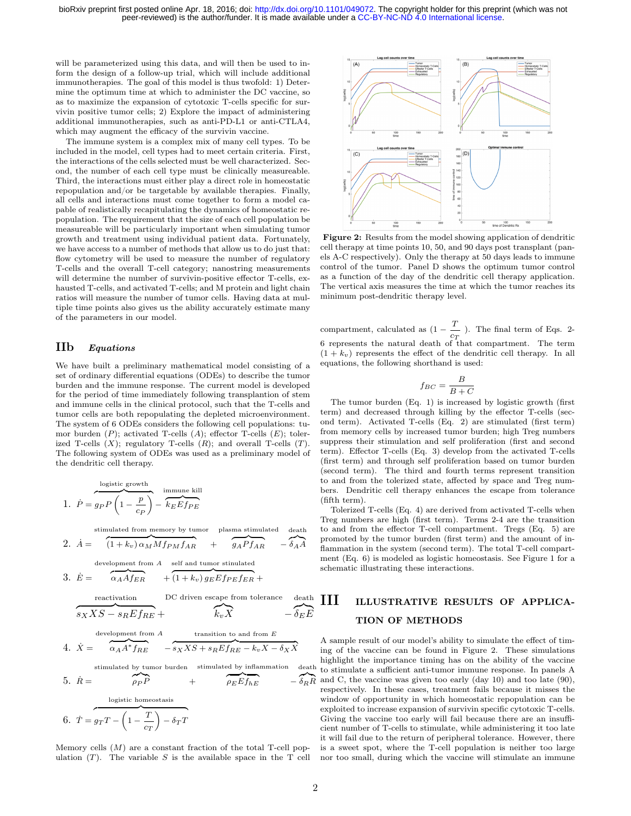will be parameterized using this data, and will then be used to inform the design of a follow-up trial, which will include additional immunotherapies. The goal of this model is thus twofold: 1) Determine the optimum time at which to administer the DC vaccine, so as to maximize the expansion of cytotoxic T-cells specific for survivin positive tumor cells; 2) Explore the impact of administering additional immunotherapies, such as anti-PD-L1 or anti-CTLA4, which may augment the efficacy of the survivin vaccine.

The immune system is a complex mix of many cell types. To be included in the model, cell types had to meet certain criteria. First, the interactions of the cells selected must be well characterized. Second, the number of each cell type must be clinically measureable. Third, the interactions must either play a direct role in homeostatic repopulation and/or be targetable by available therapies. Finally, all cells and interactions must come together to form a model capable of realistically recapitulating the dynamics of homeostatic repopulation. The requirement that the size of each cell population be measureable will be particularly important when simulating tumor growth and treatment using individual patient data. Fortunately, we have access to a number of methods that allow us to do just that: flow cytometry will be used to measure the number of regulatory T-cells and the overall T-cell category; nanostring measurements will determine the number of survivin-positive effector T-cells, exhausted T-cells, and activated T-cells; and M protein and light chain ratios will measure the number of tumor cells. Having data at multiple time points also gives us the ability accurately estimate many of the parameters in our model.

#### IIb Equations

We have built a preliminary mathematical model consisting of a set of ordinary differential equations (ODEs) to describe the tumor burden and the immune response. The current model is developed for the period of time immediately following transplantion of stem and immune cells in the clinical protocol, such that the T-cells and tumor cells are both repopulating the depleted microenvironment. The system of 6 ODEs considers the following cell populations: tumor burden  $(P)$ ; activated T-cells  $(A)$ ; effector T-cells  $(E)$ ; tolerized T-cells  $(X)$ ; regulatory T-cells  $(R)$ ; and overall T-cells  $(T)$ . The following system of ODEs was used as a preliminary model of the dendritic cell therapy.

1. 
$$
\overbrace{P = g_P P \left(1 - \frac{p}{c_P}\right)}^{\text{logistic growth}} - \overbrace{k_E E f_{PE}}^{\text{immune kill}}
$$

stimulated from memory by tumor plasma stimulated death

2. 
$$
\dot{A} = \left(1 + k_v\right) \alpha_M M f_{PM} f_{AR} + \left(g_A P f_{AR} - \delta_A A\right)
$$
  
development from *A* self and tumor stimulated

3. 
$$
\dot{E} = \overbrace{\alpha_A A f_{ER}} + \overbrace{(1 + k_v) g_E E f_{PE} f_{ER}} +
$$

\n reactivation  
\n DC driven escape from tolerance  
\n death  
\n
$$
s_XXS - s_REf_{RE} + \overbrace{k_vX}^{\text{development from }A} - \delta_EE
$$
\n

\n\n development from A transition to and from E  
\n 4. 
$$
\dot{X} = \overbrace{\alpha_A A^* f_{RE}}^{\text{development from }A} - s_XXS + s_REf_{RE} - k_vX - \delta_XX
$$
\n

\n\n stimulated by tumor burden  
\n stimulated by infinmutation  
\n death\n

5. 
$$
\dot{R} = \qquad \qquad \rho_P P \qquad + \qquad \qquad \rho_E E f_{hE} \qquad - \delta_R I
$$
  
logistic homeostasis  
6.  $\dot{T} = g_T T - \left(1 - \frac{T}{c_T}\right) - \delta_T T$ 

Memory cells  $(M)$  are a constant fraction of the total T-cell population  $(T)$ . The variable S is the available space in the T cell



Figure 2: Results from the model showing application of dendritic cell therapy at time points 10, 50, and 90 days post transplant (panels A-C respectively). Only the therapy at 50 days leads to immune control of the tumor. Panel D shows the optimum tumor control as a function of the day of the dendritic cell therapy application. The vertical axis measures the time at which the tumor reaches its minimum post-dendritic therapy level.

compartment, calculated as  $(1 - \frac{T}{T})$  $\frac{1}{c_T}$ ). The final term of Eqs. 2-6 represents the natural death of that compartment. The term  $(1 + k_v)$  represents the effect of the dendritic cell therapy. In all equations, the following shorthand is used:

$$
f_{BC} = \frac{B}{B+C}
$$

The tumor burden (Eq. 1) is increased by logistic growth (first term) and decreased through killing by the effector T-cells (second term). Activated T-cells (Eq. 2) are stimulated (first term) from memory cells by increased tumor burden; high Treg numbers suppress their stimulation and self proliferation (first and second term). Effector T-cells (Eq. 3) develop from the activated T-cells (first term) and through self proliferation based on tumor burden (second term). The third and fourth terms represent transition to and from the tolerized state, affected by space and Treg numbers. Dendritic cell therapy enhances the escape from tolerance (fifth term).

Tolerized T-cells (Eq. 4) are derived from activated T-cells when Treg numbers are high (first term). Terms 2-4 are the transition to and from the effector T-cell compartment. Tregs (Eq. 5) are promoted by the tumor burden (first term) and the amount of inflammation in the system (second term). The total T-cell compartment (Eq. 6) is modeled as logistic homeostasis. See Figure 1 for a schematic illustrating these interactions.

# III ILLUSTRATIVE RESULTS OF APPLICA-TION OF METHODS

death to stimulate a sufficient anti-tumor immune response. In panels A  ${\delta_R}$  and C, the vaccine was given too early (day 10) and too late (90), A sample result of our model's ability to simulate the effect of timing of the vaccine can be found in Figure 2. These simulations highlight the importance timing has on the ability of the vaccine respectively. In these cases, treatment fails because it misses the window of opportunity in which homeostatic repopulation can be exploited to increase expansion of survivin specific cytotoxic T-cells. Giving the vaccine too early will fail because there are an insufficient number of T-cells to stimulate, while administering it too late it will fail due to the return of peripheral tolerance. However, there is a sweet spot, where the T-cell population is neither too large nor too small, during which the vaccine will stimulate an immune